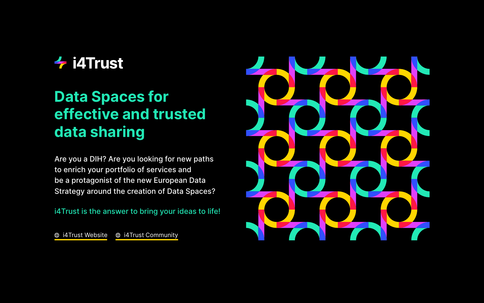Are you a DIH? Are you looking for new paths to enrich your portfolio of services and be a protagonist of the new European Data Strategy around the creation of Data Spaces?

i4Trust is the answer to bring your ideas to life!

**@ i4Trust Website @ i4Trust [Community](https://spaces.fundingbox.com/c/i4trust)** 



# **4** i4Trust

# **Data Spaces for effective and trusted data sharing**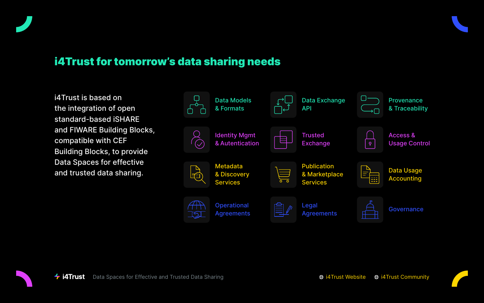Usage Control

Data Usage Accounting









i4Trust is based on the integration of open standard-based iSHARE and FIWARE Building Blocks, compatible with CEF Building Blocks, to provide Data Spaces for effective and trusted data sharing.

## i4Trust for tomorrow's data sharing needs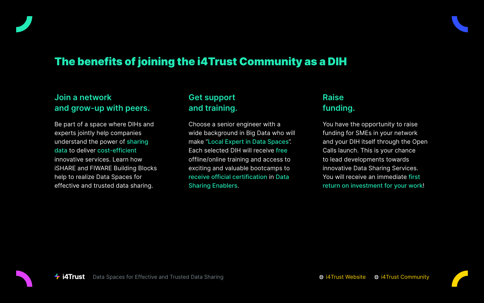## The benefits of joining the i4Trust Community as a DIH

#### **Join a network and grow-up with peers.**

Be part of a space where DIHs and experts jointly help companies understand the power of sharing data to deliver cost-efficient innovative services. Learn how iSHARE and FIWARE Building Blocks help to realize Data Spaces for effective and trusted data sharing.

#### **Get support and training.**

Choose a senior engineer with a wide background in Big Data who will make "Local Expert in Data Spaces". Each selected DIH will receive free offline/online training and access to exciting and valuable bootcamps to receive official certification in Data Sharing Enablers.

### **Raise funding.**

You have the opportunity to raise funding for SMEs in your network and your DIH itself through the Open Calls launch. This is your chance to lead developments towards innovative Data Sharing Services. You will receive an immediate first return on investment for your work!

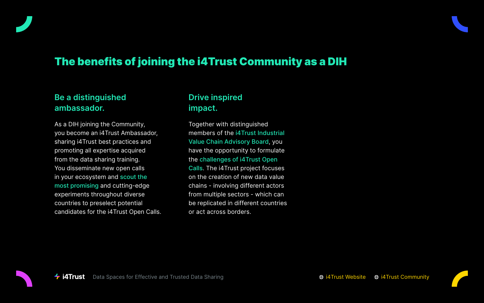## The benefits of joining the i4Trust Community as a DIH

### **Be a distinguished ambassador.**

As a DIH joining the Community, you become an i4Trust Ambassador, sharing i4Trust best practices and promoting all expertise acquired from the data sharing training. You disseminate new open calls in your ecosystem and scout the most promising and cutting-edge experiments throughout diverse countries to preselect potential candidates for the i4Trust Open Calls.

#### **Drive inspired impact.**

Together with distinguished members of the i4Trust Industrial Value Chain Advisory Board, you have the opportunity to formulate the challenges of i4Trust Open Calls. The i4Trust project focuses on the creation of new data value chains - involving different actors from multiple sectors - which can be replicated in different countries or act across borders.



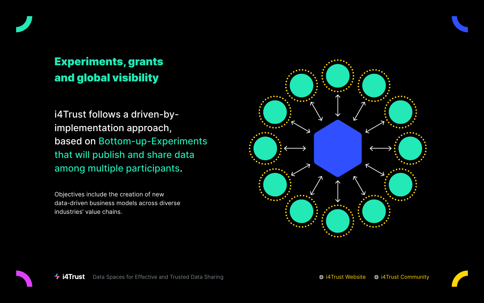



i4Trust follows a driven-byimplementation approach, based on Bottom-up-Experiments that will publish and share data among multiple participants.

Objectives include the creation of new data-driven business models across diverse industries' value chains.



# Experiments, grants and global visibility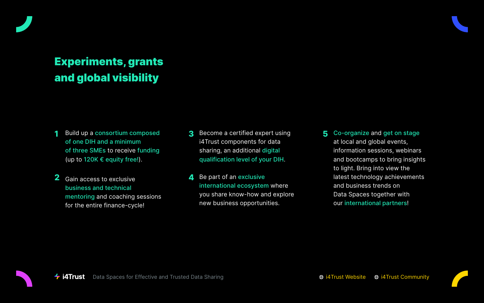- **1** Build up a consortium composed of one DIH and a minimum of three SMEs to receive funding (up to 120K  $\epsilon$  equity free!).
- **2** Gain access to exclusive business and technical mentoring and coaching sessions for the entire finance-cycle!
- **3** Become a certified expert using i4Trust components for data sharing, an additional digital qualification level of your DIH.
- **4** Be part of an exclusive international ecosystem where you share know-how and explore new business opportunities.







# Experiments, grants and global visibility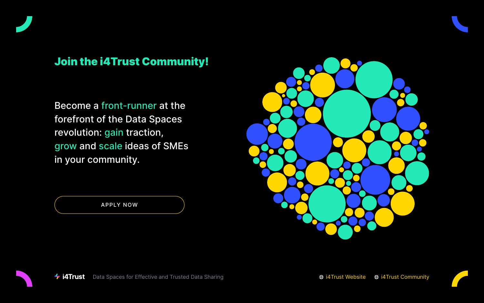Become a front-runner at the forefront of the Data Spaces revolution: gain traction, grow and scale ideas of SMEs in your community.



# Join the i4Trust Community!

[APPLY NOW](https://i4trust-dihs-group.fundingbox.com/)